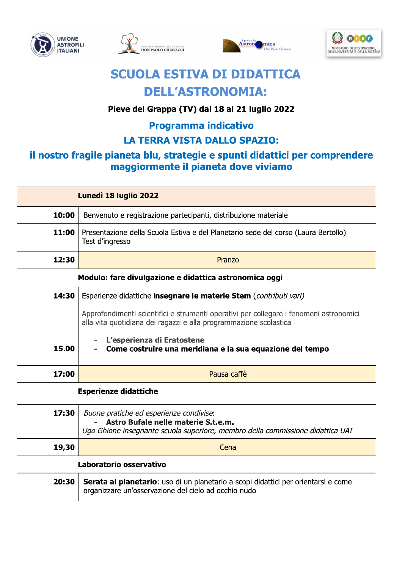







# **SCUOLA ESTIVA DI DIDATTICA DELL'ASTRONOMIA:**

### Pieve del Grappa (TV) dal 18 al 21 luglio 2022

# **Programma indicativo**

## **LA TERRA VISTA DALLO SPAZIO:**

### il nostro fragile pianeta blu, strategie e spunti didattici per comprendere maggiormente il pianeta dove viviamo

| Lunedì 18 luglio 2022                                  |                                                                                                                                                                  |  |  |  |
|--------------------------------------------------------|------------------------------------------------------------------------------------------------------------------------------------------------------------------|--|--|--|
| 10:00                                                  | Benvenuto e registrazione partecipanti, distribuzione materiale                                                                                                  |  |  |  |
| 11:00                                                  | Presentazione della Scuola Estiva e del Planetario sede del corso (Laura Bertollo)<br>Test d'ingresso                                                            |  |  |  |
| 12:30                                                  | Pranzo                                                                                                                                                           |  |  |  |
| Modulo: fare divulgazione e didattica astronomica oggi |                                                                                                                                                                  |  |  |  |
| 14:30                                                  | Esperienze didattiche insegnare le materie Stem (contributi vari)                                                                                                |  |  |  |
|                                                        | Approfondimenti scientifici e strumenti operativi per collegare i fenomeni astronomici<br>alla vita quotidiana dei ragazzi e alla programmazione scolastica      |  |  |  |
| 15.00                                                  | L'esperienza di Eratostene<br>Come costruire una meridiana e la sua equazione del tempo                                                                          |  |  |  |
| 17:00                                                  | Pausa caffè                                                                                                                                                      |  |  |  |
| <b>Esperienze didattiche</b>                           |                                                                                                                                                                  |  |  |  |
| 17:30                                                  | Buone pratiche ed esperienze condivise:<br>Astro Bufale nelle materie S.t.e.m.<br>Ugo Ghione insegnante scuola superiore, membro della commissione didattica UAI |  |  |  |
| 19,30                                                  | Cena                                                                                                                                                             |  |  |  |
| Laboratorio osservativo                                |                                                                                                                                                                  |  |  |  |
| 20:30                                                  | Serata al planetario: uso di un planetario a scopi didattici per orientarsi e come<br>organizzare un'osservazione del cielo ad occhio nudo                       |  |  |  |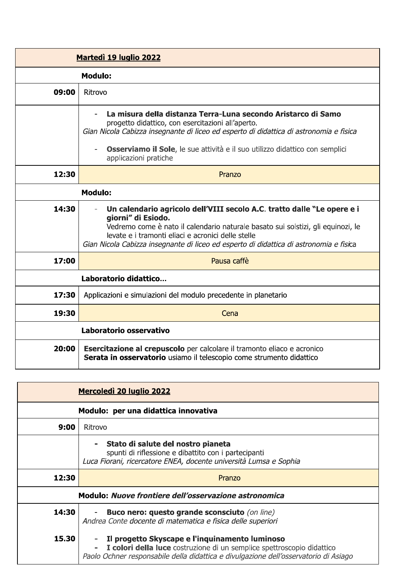| <b>Martedì 19 luglio 2022</b> |                                                                                                                                                                                                                                                                                                                                                               |  |  |  |  |
|-------------------------------|---------------------------------------------------------------------------------------------------------------------------------------------------------------------------------------------------------------------------------------------------------------------------------------------------------------------------------------------------------------|--|--|--|--|
|                               | <b>Modulo:</b>                                                                                                                                                                                                                                                                                                                                                |  |  |  |  |
| 09:00                         | Ritrovo                                                                                                                                                                                                                                                                                                                                                       |  |  |  |  |
|                               | La misura della distanza Terra-Luna secondo Aristarco di Samo<br>progetto didattico, con esercitazioni all'aperto.<br>Gian Nicola Cabizza insegnante di liceo ed esperto di didattica di astronomia e fisica<br>Osserviamo il Sole, le sue attività e il suo utilizzo didattico con semplici<br>$\overline{\phantom{a}}$<br>applicazioni pratiche             |  |  |  |  |
| 12:30                         | Pranzo                                                                                                                                                                                                                                                                                                                                                        |  |  |  |  |
| <b>Modulo:</b>                |                                                                                                                                                                                                                                                                                                                                                               |  |  |  |  |
| 14:30                         | Un calendario agricolo dell'VIII secolo A.C. tratto dalle "Le opere e i<br>$\overline{\phantom{a}}$<br>giorni" di Esiodo.<br>Vedremo come è nato il calendario naturale basato sui solstizi, gli equinozi, le<br>levate e i tramonti eliaci e acronici delle stelle<br>Gian Nicola Cabizza insegnante di liceo ed esperto di didattica di astronomia e fisica |  |  |  |  |
| 17:00                         | Pausa caffè                                                                                                                                                                                                                                                                                                                                                   |  |  |  |  |
| Laboratorio didattico         |                                                                                                                                                                                                                                                                                                                                                               |  |  |  |  |
| 17:30                         | Applicazioni e simulazioni del modulo precedente in planetario                                                                                                                                                                                                                                                                                                |  |  |  |  |
| 19:30                         | Cena                                                                                                                                                                                                                                                                                                                                                          |  |  |  |  |
| Laboratorio osservativo       |                                                                                                                                                                                                                                                                                                                                                               |  |  |  |  |
| 20:00                         | Esercitazione al crepuscolo per calcolare il tramonto eliaco e acronico<br>Serata in osservatorio usiamo il telescopio come strumento didattico                                                                                                                                                                                                               |  |  |  |  |

| <u>Mercoledì 20 luglio 2022</u>                       |                                                                                                                                                                                                                    |  |  |  |
|-------------------------------------------------------|--------------------------------------------------------------------------------------------------------------------------------------------------------------------------------------------------------------------|--|--|--|
| Modulo: per una didattica innovativa                  |                                                                                                                                                                                                                    |  |  |  |
| 9:00                                                  | Ritrovo                                                                                                                                                                                                            |  |  |  |
|                                                       | Stato di salute del nostro pianeta<br>spunti di riflessione e dibattito con i partecipanti<br>Luca Fiorani, ricercatore ENEA, docente università Lumsa e Sophia                                                    |  |  |  |
| 12:30                                                 | Pranzo                                                                                                                                                                                                             |  |  |  |
| Modulo: Nuove frontiere dell'osservazione astronomica |                                                                                                                                                                                                                    |  |  |  |
| 14:30                                                 | <b>Buco nero: questo grande sconsciuto</b> (on line)<br>Andrea Conte docente di matematica e fisica delle superiori                                                                                                |  |  |  |
| 15.30                                                 | Il progetto Skyscape e l'inquinamento luminoso<br>- I colori della luce costruzione di un semplice spettroscopio didattico<br>Paolo Ochner responsabile della didattica e divulgazione dell'osservatorio di Asiago |  |  |  |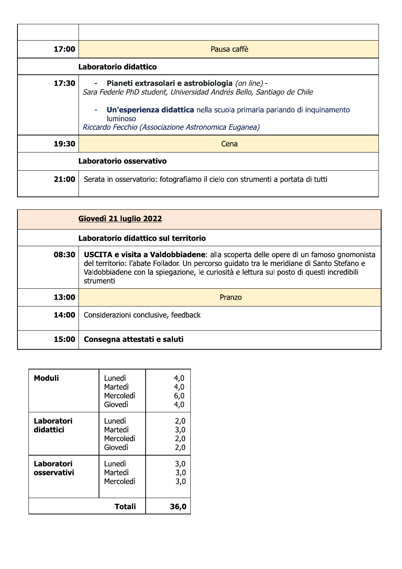| 17:00                   | Pausa caffè                                                                                                                                                                                                                                                                  |  |  |  |  |
|-------------------------|------------------------------------------------------------------------------------------------------------------------------------------------------------------------------------------------------------------------------------------------------------------------------|--|--|--|--|
|                         | Laboratorio didattico                                                                                                                                                                                                                                                        |  |  |  |  |
| 17:30                   | Pianeti extrasolari e astrobiologia (on line) -<br>Sara Federle PhD student, Universidad Andrés Bello, Santiago de Chile<br>Un'esperienza didattica nella scuola primaria parlando di inquinamento<br><b>luminoso</b><br>Riccardo Fecchio (Associazione Astronomica Euganea) |  |  |  |  |
| 19:30                   | Cena                                                                                                                                                                                                                                                                         |  |  |  |  |
| Laboratorio osservativo |                                                                                                                                                                                                                                                                              |  |  |  |  |
| 21:00                   | Serata in osservatorio: fotografiamo il cielo con strumenti a portata di tutti                                                                                                                                                                                               |  |  |  |  |

|                                      | Giovedì 21 luglio 2022                                                                                                                                                                                                                                                                          |  |  |  |
|--------------------------------------|-------------------------------------------------------------------------------------------------------------------------------------------------------------------------------------------------------------------------------------------------------------------------------------------------|--|--|--|
| Laboratorio didattico sul territorio |                                                                                                                                                                                                                                                                                                 |  |  |  |
| 08:30                                | <b>USCITA e visita a Valdobbiadene:</b> alla scoperta delle opere di un famoso gnomonista<br>del territorio: l'abate Follador. Un percorso guidato tra le meridiane di Santo Stefano e<br>Valdobbiadene con la spiegazione, le curiosità e lettura sul posto di questi incredibili<br>strumenti |  |  |  |
| 13:00                                | Pranzo                                                                                                                                                                                                                                                                                          |  |  |  |
| 14:00                                | Considerazioni conclusive, feedback                                                                                                                                                                                                                                                             |  |  |  |
| 15:00                                | Consegna attestati e saluti                                                                                                                                                                                                                                                                     |  |  |  |

| <b>Moduli</b>             | Lunedì<br>Martedì<br>Mercoledì<br>Giovedì | 4,0<br>4,0<br>6,0<br>4,0 |
|---------------------------|-------------------------------------------|--------------------------|
| Laboratori<br>didattici   | Lunedì<br>Martedì<br>Mercoledì<br>Giovedì | 2,0<br>3,0<br>2,0<br>2,0 |
| Laboratori<br>osservativi | Lunedì<br>Martedì<br>Mercoledì            | 3,0<br>3,0<br>3,0        |
|                           | <b>Totali</b>                             | 36,0                     |